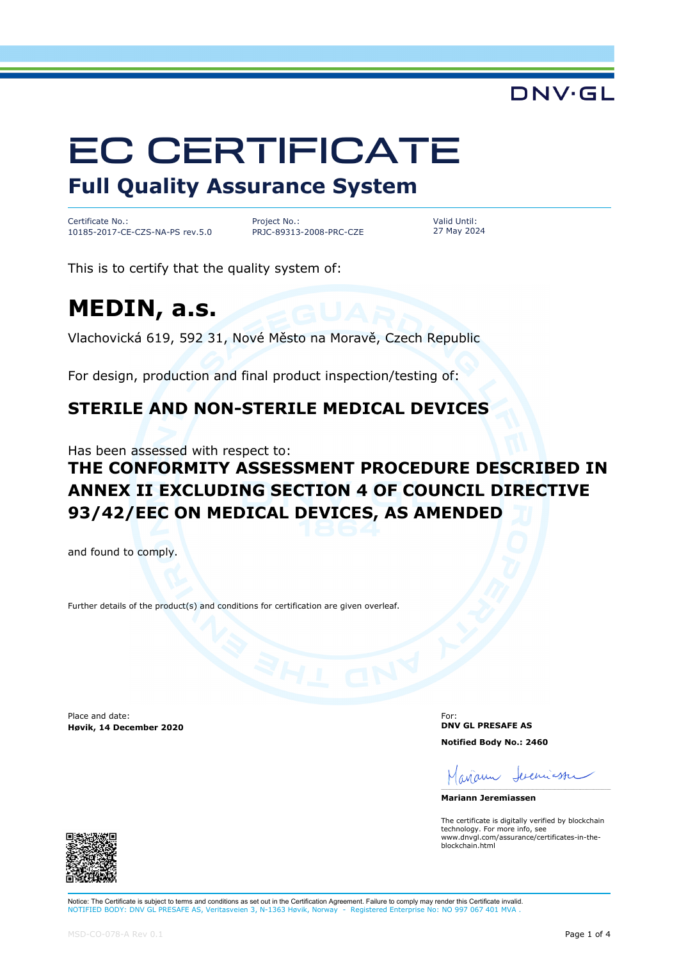# EC CERTIFICATE

# **Full Quality Assurance System**

Certificate No.: 10185-2017-CE-CZS-NA-PS rev.5.0 Project No.: PRJC-89313-2008-PRC-CZE Valid Until: 27 May 2024

This is to certify that the quality system of:

# **MEDIN, a.s.**

Vlachovická 619, 592 31, Nové Město na Moravě, Czech Republic

For design, production and final product inspection/testing of:

### **STERILE AND NON-STERILE MEDICAL DEVICES**

Has been assessed with respect to:

# **THE CONFORMITY ASSESSMENT PROCEDURE DESCRIBED IN ANNEX II EXCLUDING SECTION 4 OF COUNCIL DIRECTIVE 93/42/EEC ON MEDICAL DEVICES, AS AMENDED**

and found to comply.

Further details of the product(s) and conditions for certification are given overleaf.

Place and date: **Høvik, 14 December 2020**

For: **DNV GL PRESAFE AS Notified Body No.: 2460**

Seveniaster avam

**Mariann Jeremiassen**

The certificate is digitally verified by blockchain technology. For more info, see www.dnvgl.com/assurance/certificates-in-theblockchain.html



Notice: The Certificate is subject to terms and conditions as set out in the Certification Agreement. Failure to comply may render this Certificate invalid. NOTIFIED BODY: DNV GL PRESAFE AS, Veritasveien 3, N-1363 Høvik, Norway - Registered Enterprise No: NO 997 067 401 MV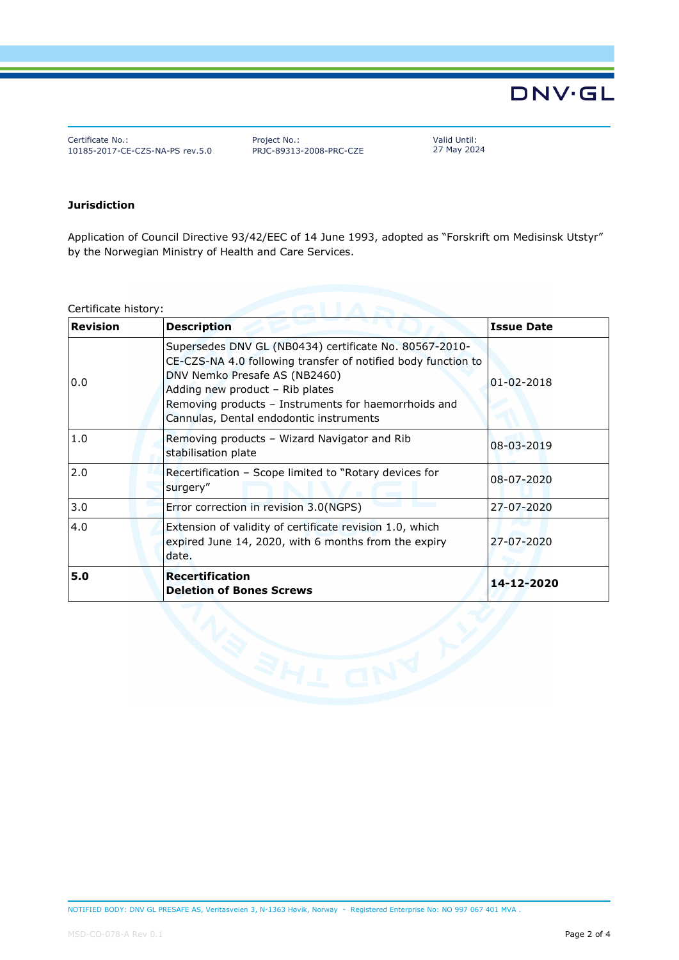Certificate No.: 10185-2017-CE-CZS-NA-PS rev.5.0 Project No.: PRJC-89313-2008-PRC-CZE Valid Until: 27 May 2024

#### **Jurisdiction**

Application of Council Directive 93/42/EEC of 14 June 1993, adopted as "Forskrift om Medisinsk Utstyr" by the Norwegian Ministry of Health and Care Services.

Certificate history:

| <b>Revision</b> | <b>Description</b>                                                                                                                                                                                                                                                                             | <b>Issue Date</b> |
|-----------------|------------------------------------------------------------------------------------------------------------------------------------------------------------------------------------------------------------------------------------------------------------------------------------------------|-------------------|
| 0.0             | Supersedes DNV GL (NB0434) certificate No. 80567-2010-<br>CE-CZS-NA 4.0 following transfer of notified body function to<br>DNV Nemko Presafe AS (NB2460)<br>Adding new product - Rib plates<br>Removing products - Instruments for haemorrhoids and<br>Cannulas, Dental endodontic instruments | $01 - 02 - 2018$  |
| 1.0             | Removing products - Wizard Navigator and Rib<br>stabilisation plate                                                                                                                                                                                                                            | 08-03-2019        |
| 2.0             | Recertification - Scope limited to "Rotary devices for<br>surgery"                                                                                                                                                                                                                             | 08-07-2020        |
| 3.0             | Error correction in revision 3.0(NGPS)                                                                                                                                                                                                                                                         | 27-07-2020        |
| 4.0             | Extension of validity of certificate revision 1.0, which<br>expired June 14, 2020, with 6 months from the expiry<br>date.                                                                                                                                                                      | 27-07-2020        |
| 5.0             | <b>Recertification</b><br><b>Deletion of Bones Screws</b>                                                                                                                                                                                                                                      | 14-12-2020        |
|                 |                                                                                                                                                                                                                                                                                                |                   |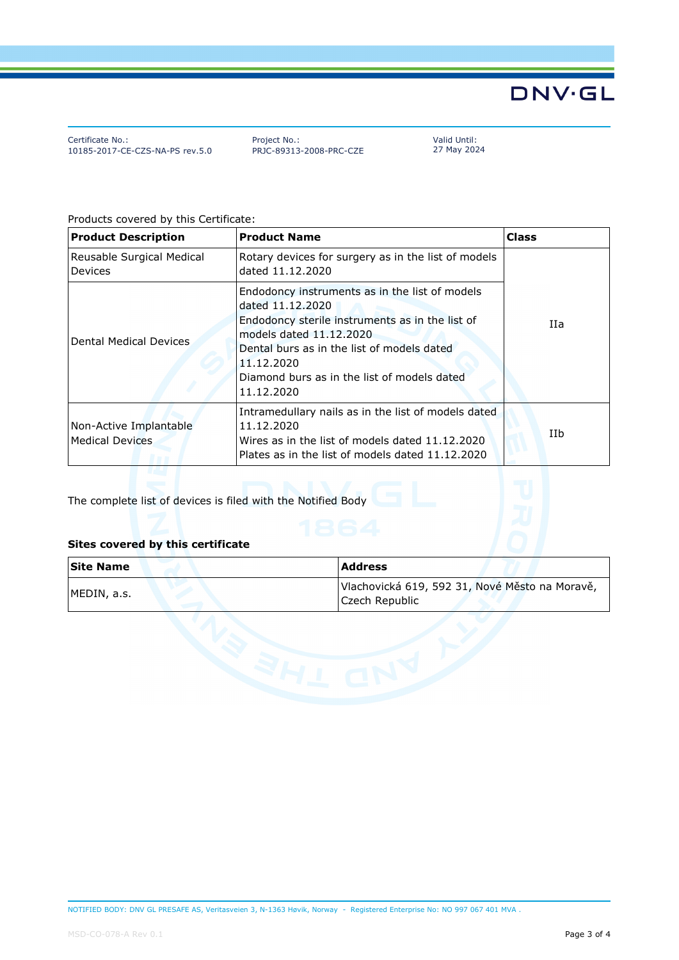Certificate No.: 10185-2017-CE-CZS-NA-PS rev.5.0 Project No.: PRJC-89313-2008-PRC-CZE Valid Until: 27 May 2024

Products covered by this Certificate:

| <b>Product Description</b>                       | <b>Product Name</b>                                                                                                                                                                                                                                                       | <b>Class</b> |  |
|--------------------------------------------------|---------------------------------------------------------------------------------------------------------------------------------------------------------------------------------------------------------------------------------------------------------------------------|--------------|--|
| Reusable Surgical Medical<br><b>Devices</b>      | Rotary devices for surgery as in the list of models<br>dated 11.12.2020                                                                                                                                                                                                   |              |  |
| Dental Medical Devices                           | Endodoncy instruments as in the list of models<br>dated 11.12.2020<br>Endodoncy sterile instruments as in the list of<br>models dated 11.12.2020<br>Dental burs as in the list of models dated<br>11.12.2020<br>Diamond burs as in the list of models dated<br>11.12.2020 | IIa          |  |
| Non-Active Implantable<br><b>Medical Devices</b> | Intramedullary nails as in the list of models dated<br>11.12.2020<br>Wires as in the list of models dated 11.12.2020<br>Plates as in the list of models dated 11.12.2020                                                                                                  | IIb          |  |

The complete list of devices is filed with the Notified Body

#### **Sites covered by this certificate**

| <b>Site Name</b> | Address                                                          |
|------------------|------------------------------------------------------------------|
| MEDIN, a.s.      | Vlachovická 619, 592 31, Nové Město na Moravě,<br>Czech Republic |